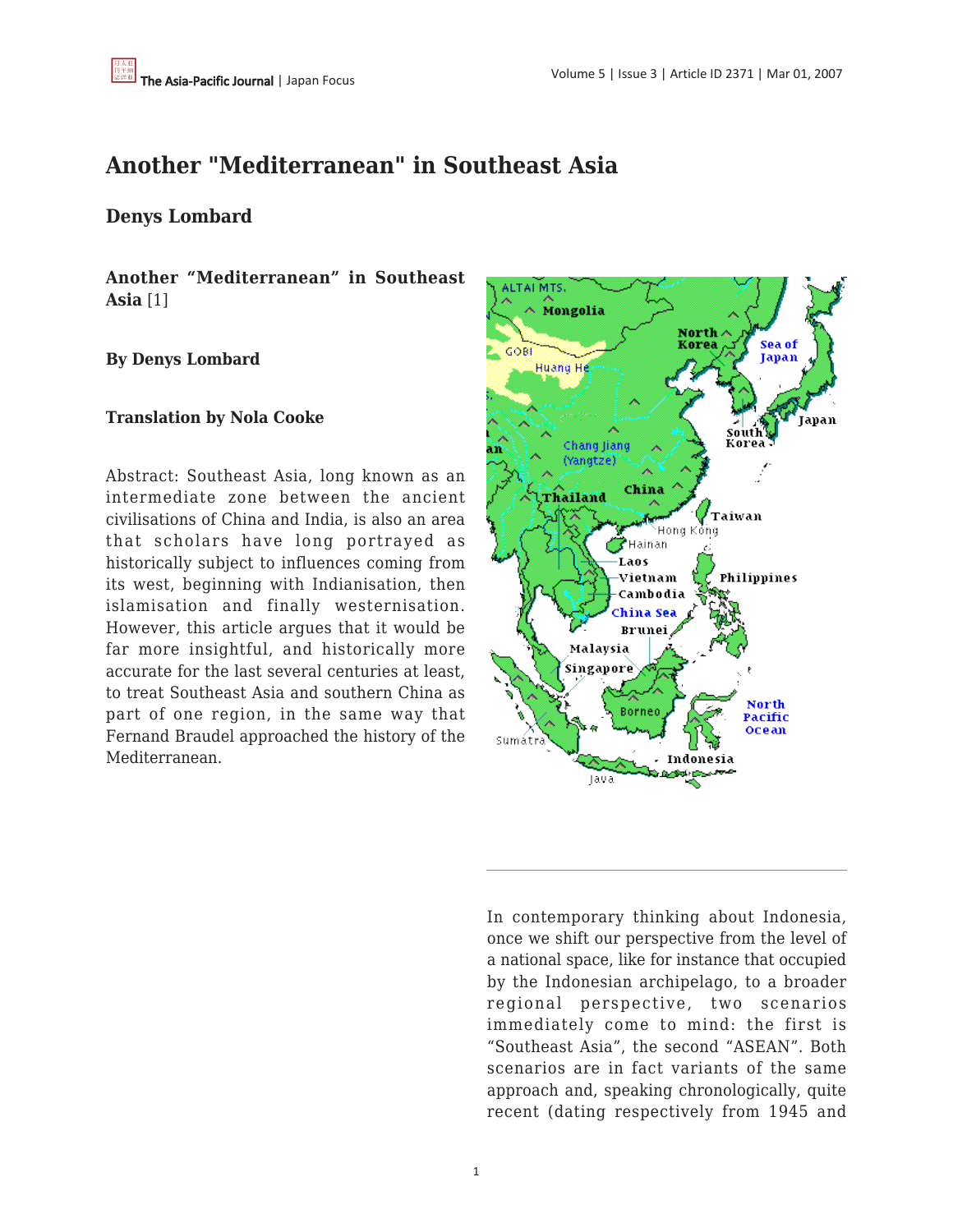# **Another "Mediterranean" in Southeast Asia**

# **Denys Lombard**

**Another "Mediterranean" in Southeast Asia** [1]

## **By Denys Lombard**

#### **Translation by Nola Cooke**

Abstract: Southeast Asia, long known as an intermediate zone between the ancient civilisations of China and India, is also an area that scholars have long portrayed as historically subject to influences coming from its west, beginning with Indianisation, then islamisation and finally westernisation. However, this article argues that it would be far more insightful, and historically more accurate for the last several centuries at least, to treat Southeast Asia and southern China as part of one region, in the same way that Fernand Braudel approached the history of the Mediterranean.



In contemporary thinking about Indonesia, once we shift our perspective from the level of a national space, like for instance that occupied by the Indonesian archipelago, to a broader regional perspective, two scenarios immediately come to mind: the first is "Southeast Asia", the second "ASEAN". Both scenarios are in fact variants of the same approach and, speaking chronologically, quite recent (dating respectively from 1945 and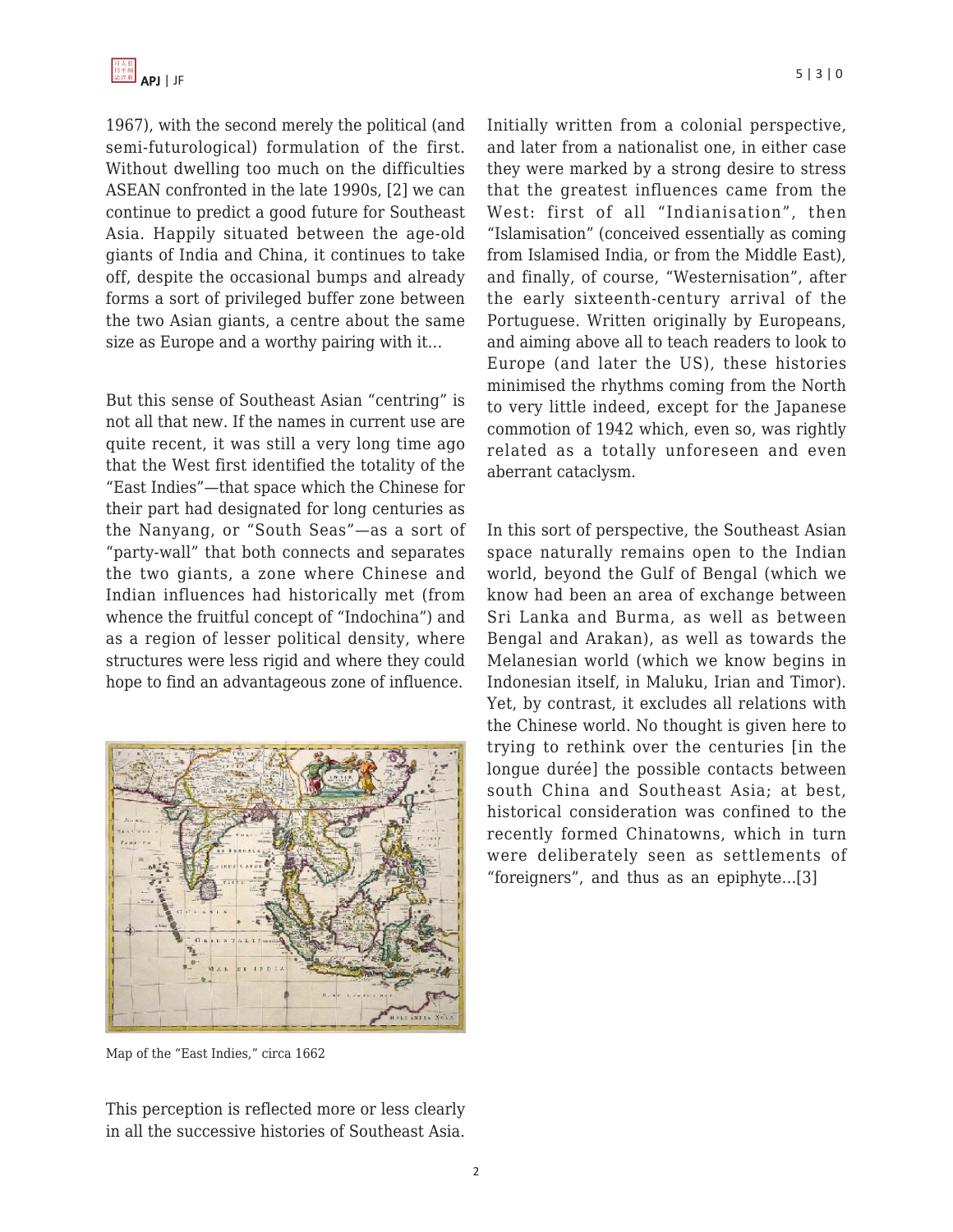1967), with the second merely the political (and semi-futurological) formulation of the first. Without dwelling too much on the difficulties ASEAN confronted in the late 1990s, [2] we can continue to predict a good future for Southeast Asia. Happily situated between the age-old giants of India and China, it continues to take off, despite the occasional bumps and already forms a sort of privileged buffer zone between the two Asian giants, a centre about the same size as Europe and a worthy pairing with it…

But this sense of Southeast Asian "centring" is not all that new. If the names in current use are quite recent, it was still a very long time ago that the West first identified the totality of the "East Indies"—that space which the Chinese for their part had designated for long centuries as the Nanyang, or "South Seas"—as a sort of "party-wall" that both connects and separates the two giants, a zone where Chinese and Indian influences had historically met (from whence the fruitful concept of "Indochina") and as a region of lesser political density, where structures were less rigid and where they could hope to find an advantageous zone of influence.



Map of the "East Indies," circa 1662

This perception is reflected more or less clearly in all the successive histories of Southeast Asia.

Initially written from a colonial perspective, and later from a nationalist one, in either case they were marked by a strong desire to stress that the greatest influences came from the West: first of all "Indianisation", then "Islamisation" (conceived essentially as coming from Islamised India, or from the Middle East), and finally, of course, "Westernisation", after the early sixteenth-century arrival of the Portuguese. Written originally by Europeans, and aiming above all to teach readers to look to Europe (and later the US), these histories minimised the rhythms coming from the North to very little indeed, except for the Japanese commotion of 1942 which, even so, was rightly related as a totally unforeseen and even aberrant cataclysm.

In this sort of perspective, the Southeast Asian space naturally remains open to the Indian world, beyond the Gulf of Bengal (which we know had been an area of exchange between Sri Lanka and Burma, as well as between Bengal and Arakan), as well as towards the Melanesian world (which we know begins in Indonesian itself, in Maluku, Irian and Timor). Yet, by contrast, it excludes all relations with the Chinese world. No thought is given here to trying to rethink over the centuries [in the longue durée] the possible contacts between south China and Southeast Asia; at best, historical consideration was confined to the recently formed Chinatowns, which in turn were deliberately seen as settlements of "foreigners", and thus as an epiphyte…[3]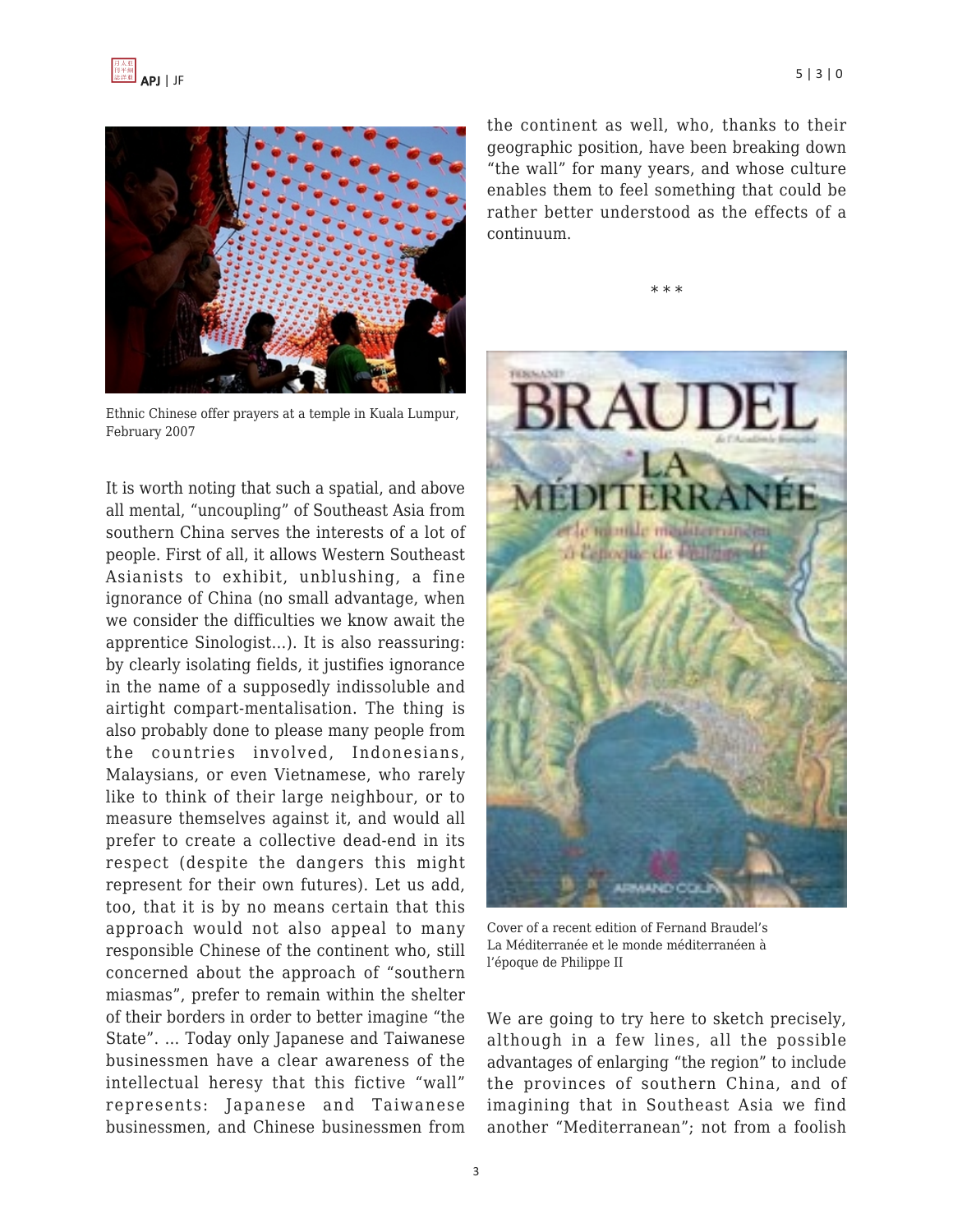



Ethnic Chinese offer prayers at a temple in Kuala Lumpur, February 2007

It is worth noting that such a spatial, and above all mental, "uncoupling" of Southeast Asia from southern China serves the interests of a lot of people. First of all, it allows Western Southeast Asianists to exhibit, unblushing, a fine ignorance of China (no small advantage, when we consider the difficulties we know await the apprentice Sinologist…). It is also reassuring: by clearly isolating fields, it justifies ignorance in the name of a supposedly indissoluble and airtight compart-mentalisation. The thing is also probably done to please many people from the countries involved, Indonesians, Malaysians, or even Vietnamese, who rarely like to think of their large neighbour, or to measure themselves against it, and would all prefer to create a collective dead-end in its respect (despite the dangers this might represent for their own futures). Let us add, too, that it is by no means certain that this approach would not also appeal to many responsible Chinese of the continent who, still concerned about the approach of "southern miasmas", prefer to remain within the shelter of their borders in order to better imagine "the State". … Today only Japanese and Taiwanese businessmen have a clear awareness of the intellectual heresy that this fictive "wall" represents: Japanese and Taiwanese businessmen, and Chinese businessmen from the continent as well, who, thanks to their geographic position, have been breaking down "the wall" for many years, and whose culture enables them to feel something that could be rather better understood as the effects of a continuum.

\* \* \*



Cover of a recent edition of Fernand Braudel's La Méditerranée et le monde méditerranéen à l'époque de Philippe II

We are going to try here to sketch precisely, although in a few lines, all the possible advantages of enlarging "the region" to include the provinces of southern China, and of imagining that in Southeast Asia we find another "Mediterranean"; not from a foolish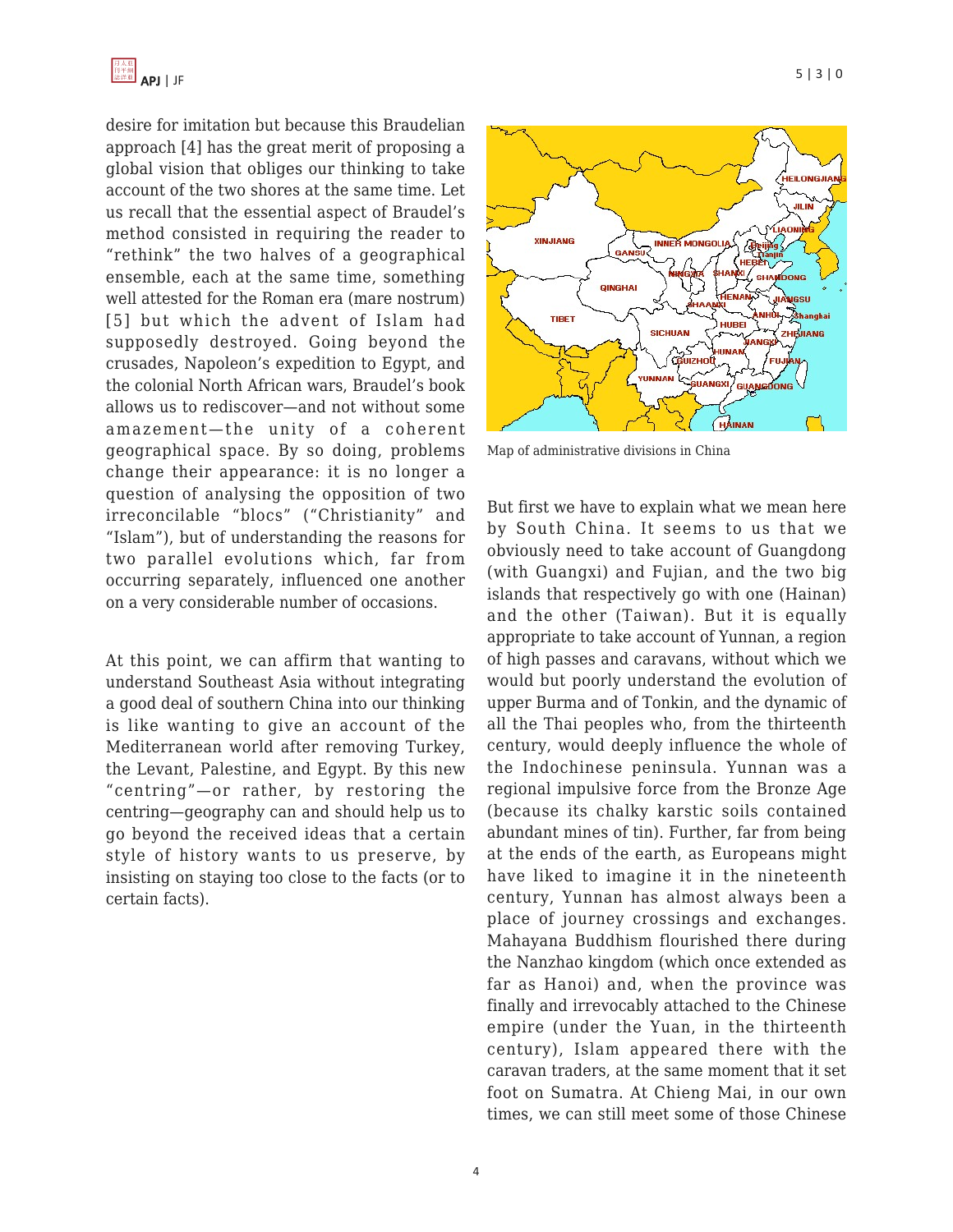

desire for imitation but because this Braudelian approach [4] has the great merit of proposing a global vision that obliges our thinking to take account of the two shores at the same time. Let us recall that the essential aspect of Braudel's method consisted in requiring the reader to "rethink" the two halves of a geographical ensemble, each at the same time, something well attested for the Roman era (mare nostrum) [5] but which the advent of Islam had supposedly destroyed. Going beyond the crusades, Napoleon's expedition to Egypt, and the colonial North African wars, Braudel's book allows us to rediscover—and not without some amazement—the unity of a coherent geographical space. By so doing, problems change their appearance: it is no longer a question of analysing the opposition of two irreconcilable "blocs" ("Christianity" and "Islam"), but of understanding the reasons for two parallel evolutions which, far from occurring separately, influenced one another on a very considerable number of occasions.

At this point, we can affirm that wanting to understand Southeast Asia without integrating a good deal of southern China into our thinking is like wanting to give an account of the Mediterranean world after removing Turkey, the Levant, Palestine, and Egypt. By this new "centring"—or rather, by restoring the centring—geography can and should help us to go beyond the received ideas that a certain style of history wants to us preserve, by insisting on staying too close to the facts (or to certain facts).



Map of administrative divisions in China

But first we have to explain what we mean here by South China. It seems to us that we obviously need to take account of Guangdong (with Guangxi) and Fujian, and the two big islands that respectively go with one (Hainan) and the other (Taiwan). But it is equally appropriate to take account of Yunnan, a region of high passes and caravans, without which we would but poorly understand the evolution of upper Burma and of Tonkin, and the dynamic of all the Thai peoples who, from the thirteenth century, would deeply influence the whole of the Indochinese peninsula. Yunnan was a regional impulsive force from the Bronze Age (because its chalky karstic soils contained abundant mines of tin). Further, far from being at the ends of the earth, as Europeans might have liked to imagine it in the nineteenth century, Yunnan has almost always been a place of journey crossings and exchanges. Mahayana Buddhism flourished there during the Nanzhao kingdom (which once extended as far as Hanoi) and, when the province was finally and irrevocably attached to the Chinese empire (under the Yuan, in the thirteenth century), Islam appeared there with the caravan traders, at the same moment that it set foot on Sumatra. At Chieng Mai, in our own times, we can still meet some of those Chinese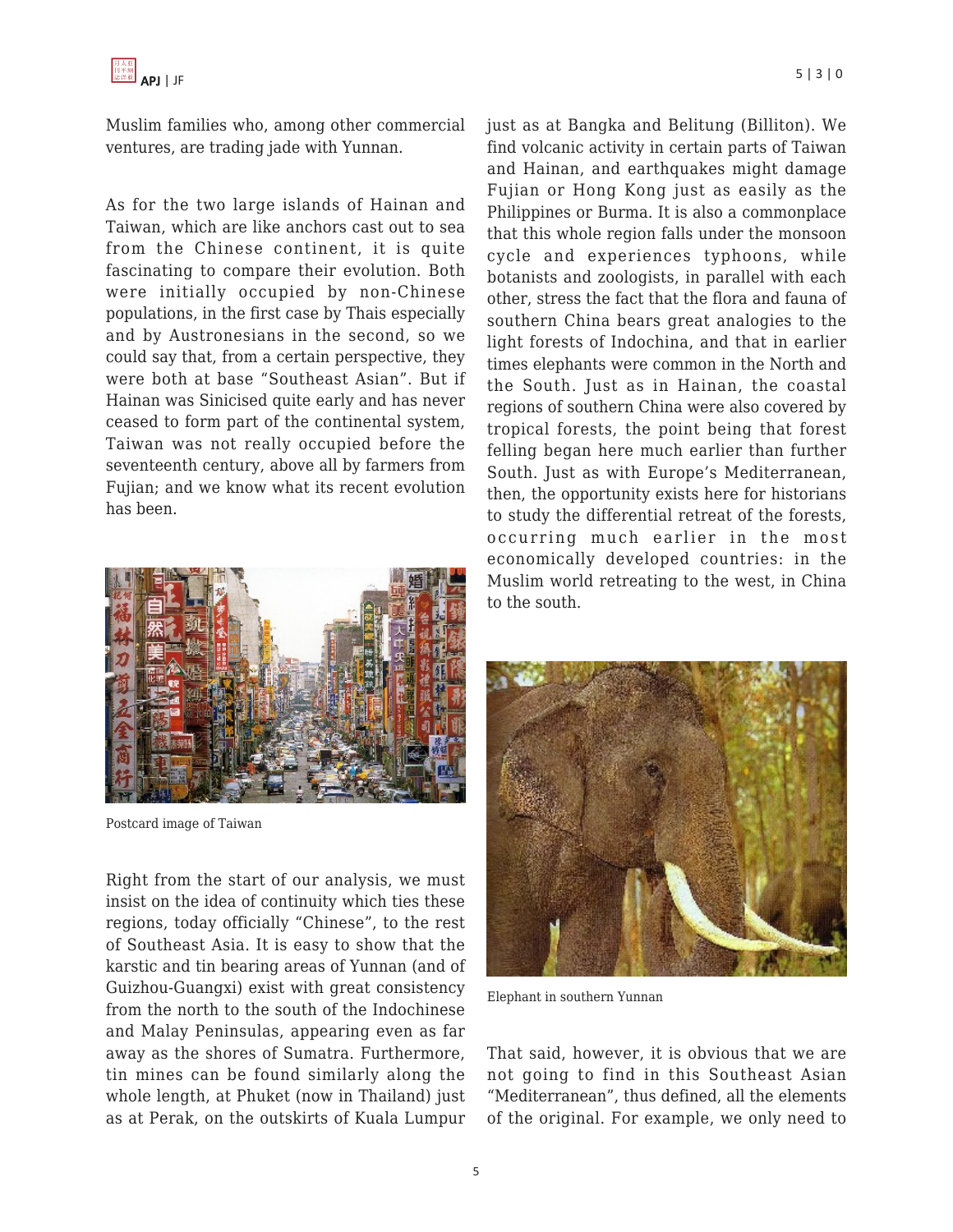Muslim families who, among other commercial ventures, are trading jade with Yunnan.

As for the two large islands of Hainan and Taiwan, which are like anchors cast out to sea from the Chinese continent, it is quite fascinating to compare their evolution. Both were initially occupied by non-Chinese populations, in the first case by Thais especially and by Austronesians in the second, so we could say that, from a certain perspective, they were both at base "Southeast Asian". But if Hainan was Sinicised quite early and has never ceased to form part of the continental system, Taiwan was not really occupied before the seventeenth century, above all by farmers from Fujian; and we know what its recent evolution has been.



Postcard image of Taiwan

Right from the start of our analysis, we must insist on the idea of continuity which ties these regions, today officially "Chinese", to the rest of Southeast Asia. It is easy to show that the karstic and tin bearing areas of Yunnan (and of Guizhou-Guangxi) exist with great consistency from the north to the south of the Indochinese and Malay Peninsulas, appearing even as far away as the shores of Sumatra. Furthermore, tin mines can be found similarly along the whole length, at Phuket (now in Thailand) just as at Perak, on the outskirts of Kuala Lumpur just as at Bangka and Belitung (Billiton). We find volcanic activity in certain parts of Taiwan and Hainan, and earthquakes might damage Fujian or Hong Kong just as easily as the Philippines or Burma. It is also a commonplace that this whole region falls under the monsoon cycle and experiences typhoons, while botanists and zoologists, in parallel with each other, stress the fact that the flora and fauna of southern China bears great analogies to the light forests of Indochina, and that in earlier times elephants were common in the North and the South. Just as in Hainan, the coastal regions of southern China were also covered by tropical forests, the point being that forest felling began here much earlier than further South. Just as with Europe's Mediterranean, then, the opportunity exists here for historians to study the differential retreat of the forests, occurring much earlier in the most economically developed countries: in the Muslim world retreating to the west, in China



Elephant in southern Yunnan

to the south.

That said, however, it is obvious that we are not going to find in this Southeast Asian "Mediterranean", thus defined, all the elements of the original. For example, we only need to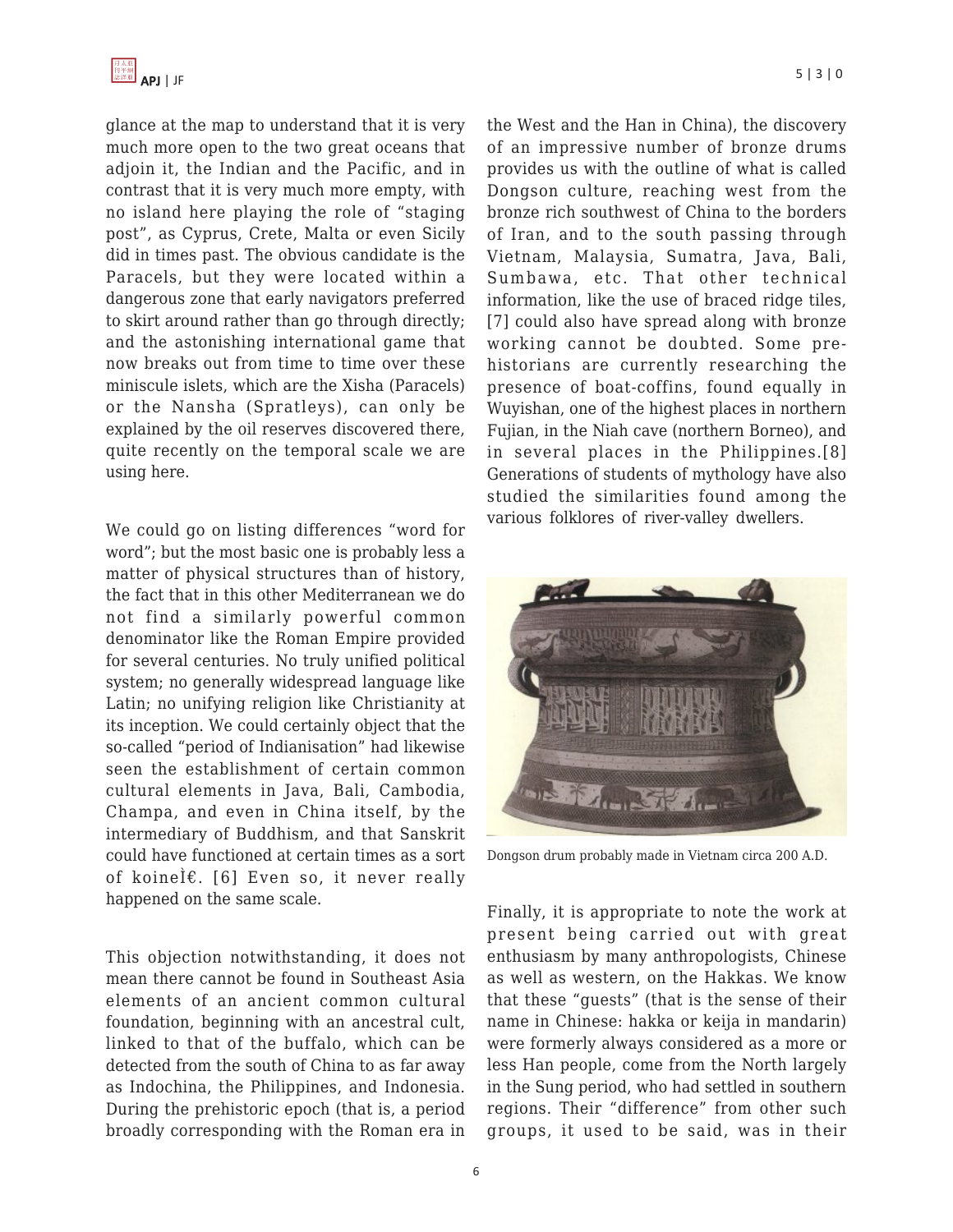glance at the map to understand that it is very much more open to the two great oceans that adjoin it, the Indian and the Pacific, and in contrast that it is very much more empty, with no island here playing the role of "staging post", as Cyprus, Crete, Malta or even Sicily did in times past. The obvious candidate is the Paracels, but they were located within a dangerous zone that early navigators preferred to skirt around rather than go through directly; and the astonishing international game that now breaks out from time to time over these miniscule islets, which are the Xisha (Paracels) or the Nansha (Spratleys), can only be explained by the oil reserves discovered there, quite recently on the temporal scale we are using here.

We could go on listing differences "word for word"; but the most basic one is probably less a matter of physical structures than of history, the fact that in this other Mediterranean we do not find a similarly powerful common denominator like the Roman Empire provided for several centuries. No truly unified political system; no generally widespread language like Latin; no unifying religion like Christianity at its inception. We could certainly object that the so-called "period of Indianisation" had likewise seen the establishment of certain common cultural elements in Java, Bali, Cambodia, Champa, and even in China itself, by the intermediary of Buddhism, and that Sanskrit could have functioned at certain times as a sort of koinel $\varepsilon$ . [6] Even so, it never really happened on the same scale.

This objection notwithstanding, it does not mean there cannot be found in Southeast Asia elements of an ancient common cultural foundation, beginning with an ancestral cult, linked to that of the buffalo, which can be detected from the south of China to as far away as Indochina, the Philippines, and Indonesia. During the prehistoric epoch (that is, a period broadly corresponding with the Roman era in the West and the Han in China), the discovery of an impressive number of bronze drums provides us with the outline of what is called Dongson culture, reaching west from the bronze rich southwest of China to the borders of Iran, and to the south passing through Vietnam, Malaysia, Sumatra, Java, Bali, Sumbawa, etc. That other technical information, like the use of braced ridge tiles, [7] could also have spread along with bronze working cannot be doubted. Some pre-

Fujian, in the Niah cave (northern Borneo), and in several places in the Philippines.[8] Generations of students of mythology have also studied the similarities found among the various folklores of river-valley dwellers.

historians are currently researching the presence of boat-coffins, found equally in Wuyishan, one of the highest places in northern



Dongson drum probably made in Vietnam circa 200 A.D.

Finally, it is appropriate to note the work at present being carried out with great enthusiasm by many anthropologists, Chinese as well as western, on the Hakkas. We know that these "guests" (that is the sense of their name in Chinese: hakka or keija in mandarin) were formerly always considered as a more or less Han people, come from the North largely in the Sung period, who had settled in southern regions. Their "difference" from other such groups, it used to be said, was in their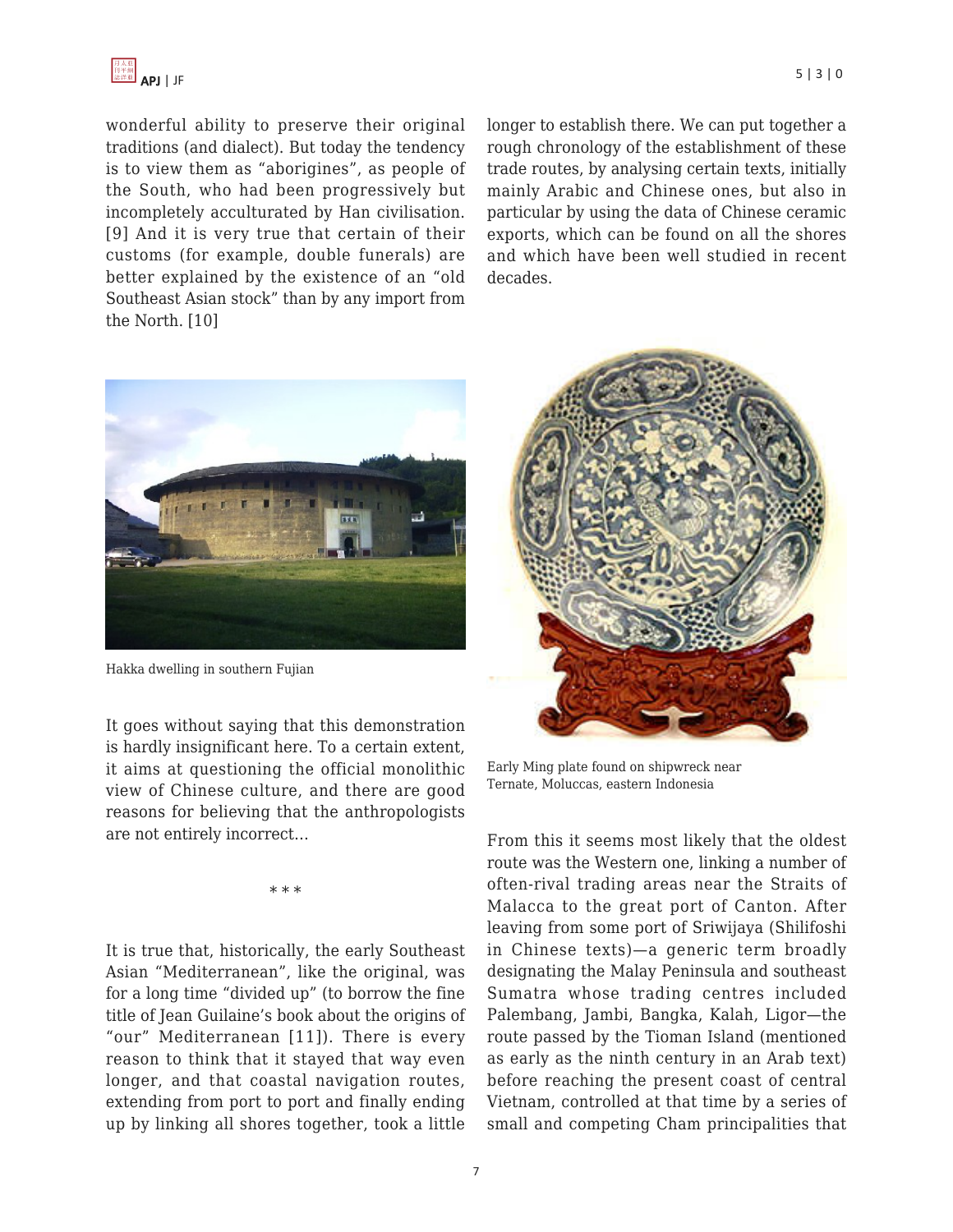

wonderful ability to preserve their original traditions (and dialect). But today the tendency is to view them as "aborigines", as people of the South, who had been progressively but incompletely acculturated by Han civilisation. [9] And it is very true that certain of their customs (for example, double funerals) are better explained by the existence of an "old Southeast Asian stock" than by any import from the North. [10]

longer to establish there. We can put together a rough chronology of the establishment of these trade routes, by analysing certain texts, initially mainly Arabic and Chinese ones, but also in particular by using the data of Chinese ceramic exports, which can be found on all the shores and which have been well studied in recent decades.



Hakka dwelling in southern Fujian

It goes without saying that this demonstration is hardly insignificant here. To a certain extent, it aims at questioning the official monolithic view of Chinese culture, and there are good reasons for believing that the anthropologists are not entirely incorrect…

\* \* \*

It is true that, historically, the early Southeast Asian "Mediterranean", like the original, was for a long time "divided up" (to borrow the fine title of Jean Guilaine's book about the origins of "our" Mediterranean [11]). There is every reason to think that it stayed that way even longer, and that coastal navigation routes, extending from port to port and finally ending up by linking all shores together, took a little



Early Ming plate found on shipwreck near Ternate, Moluccas, eastern Indonesia

From this it seems most likely that the oldest route was the Western one, linking a number of often-rival trading areas near the Straits of Malacca to the great port of Canton. After leaving from some port of Sriwijaya (Shilifoshi in Chinese texts)—a generic term broadly designating the Malay Peninsula and southeast Sumatra whose trading centres included Palembang, Jambi, Bangka, Kalah, Ligor—the route passed by the Tioman Island (mentioned as early as the ninth century in an Arab text) before reaching the present coast of central Vietnam, controlled at that time by a series of small and competing Cham principalities that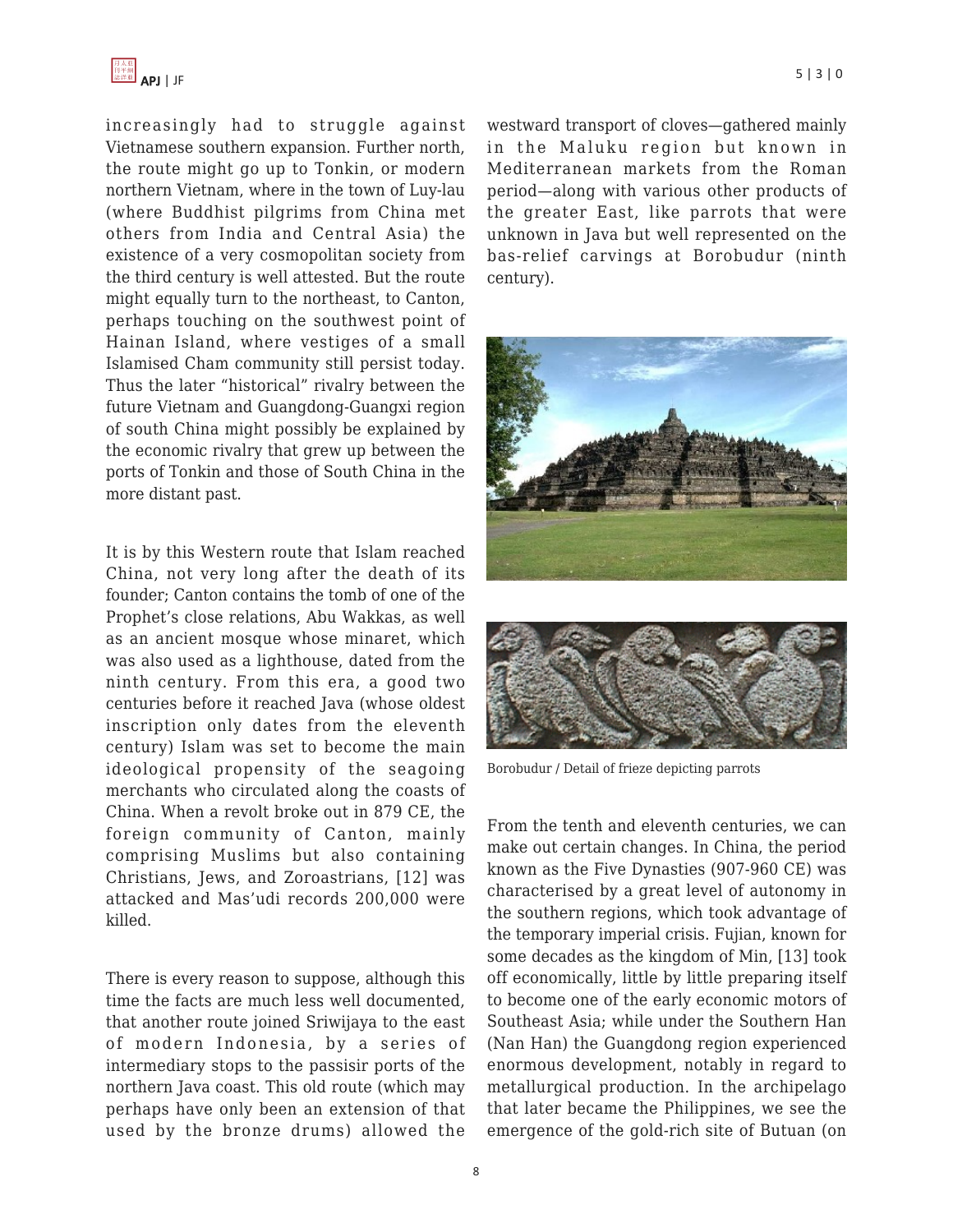

increasingly had to struggle against Vietnamese southern expansion. Further north, the route might go up to Tonkin, or modern northern Vietnam, where in the town of Luy-lau (where Buddhist pilgrims from China met others from India and Central Asia) the existence of a very cosmopolitan society from the third century is well attested. But the route might equally turn to the northeast, to Canton, perhaps touching on the southwest point of Hainan Island, where vestiges of a small Islamised Cham community still persist today. Thus the later "historical" rivalry between the future Vietnam and Guangdong-Guangxi region of south China might possibly be explained by the economic rivalry that grew up between the ports of Tonkin and those of South China in the more distant past.

It is by this Western route that Islam reached China, not very long after the death of its founder; Canton contains the tomb of one of the Prophet's close relations, Abu Wakkas, as well as an ancient mosque whose minaret, which was also used as a lighthouse, dated from the ninth century. From this era, a good two centuries before it reached Java (whose oldest inscription only dates from the eleventh century) Islam was set to become the main ideological propensity of the seagoing merchants who circulated along the coasts of China. When a revolt broke out in 879 CE, the foreign community of Canton, mainly comprising Muslims but also containing Christians, Jews, and Zoroastrians, [12] was attacked and Mas'udi records 200,000 were killed.

There is every reason to suppose, although this time the facts are much less well documented, that another route joined Sriwijaya to the east of modern Indonesia, by a series of intermediary stops to the passisir ports of the northern Java coast. This old route (which may perhaps have only been an extension of that used by the bronze drums) allowed the westward transport of cloves—gathered mainly in the Maluku region but known in Mediterranean markets from the Roman period—along with various other products of the greater East, like parrots that were unknown in Java but well represented on the bas-relief carvings at Borobudur (ninth century).





Borobudur / Detail of frieze depicting parrots

From the tenth and eleventh centuries, we can make out certain changes. In China, the period known as the Five Dynasties (907-960 CE) was characterised by a great level of autonomy in the southern regions, which took advantage of the temporary imperial crisis. Fujian, known for some decades as the kingdom of Min, [13] took off economically, little by little preparing itself to become one of the early economic motors of Southeast Asia; while under the Southern Han (Nan Han) the Guangdong region experienced enormous development, notably in regard to metallurgical production. In the archipelago that later became the Philippines, we see the emergence of the gold-rich site of Butuan (on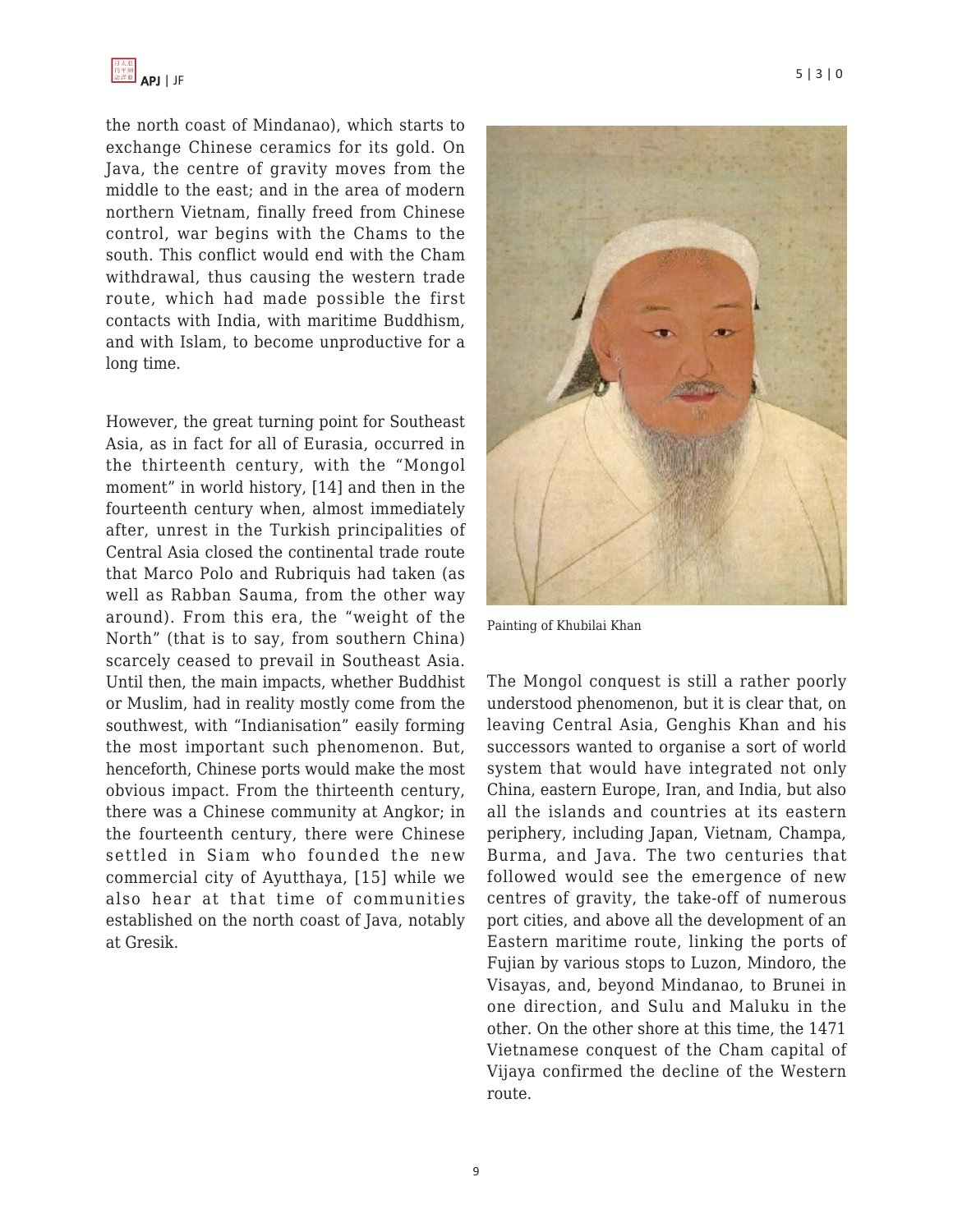the north coast of Mindanao), which starts to exchange Chinese ceramics for its gold. On Java, the centre of gravity moves from the middle to the east; and in the area of modern northern Vietnam, finally freed from Chinese control, war begins with the Chams to the south. This conflict would end with the Cham withdrawal, thus causing the western trade route, which had made possible the first contacts with India, with maritime Buddhism, and with Islam, to become unproductive for a long time.

However, the great turning point for Southeast Asia, as in fact for all of Eurasia, occurred in the thirteenth century, with the "Mongol moment" in world history, [14] and then in the fourteenth century when, almost immediately after, unrest in the Turkish principalities of Central Asia closed the continental trade route that Marco Polo and Rubriquis had taken (as well as Rabban Sauma, from the other way around). From this era, the "weight of the North" (that is to say, from southern China) scarcely ceased to prevail in Southeast Asia. Until then, the main impacts, whether Buddhist or Muslim, had in reality mostly come from the southwest, with "Indianisation" easily forming the most important such phenomenon. But, henceforth, Chinese ports would make the most obvious impact. From the thirteenth century, there was a Chinese community at Angkor; in the fourteenth century, there were Chinese settled in Siam who founded the new commercial city of Ayutthaya, [15] while we also hear at that time of communities established on the north coast of Java, notably at Gresik.



Painting of Khubilai Khan

The Mongol conquest is still a rather poorly understood phenomenon, but it is clear that, on leaving Central Asia, Genghis Khan and his successors wanted to organise a sort of world system that would have integrated not only China, eastern Europe, Iran, and India, but also all the islands and countries at its eastern periphery, including Japan, Vietnam, Champa, Burma, and Java. The two centuries that followed would see the emergence of new centres of gravity, the take-off of numerous port cities, and above all the development of an Eastern maritime route, linking the ports of Fujian by various stops to Luzon, Mindoro, the Visayas, and, beyond Mindanao, to Brunei in one direction, and Sulu and Maluku in the other. On the other shore at this time, the 1471 Vietnamese conquest of the Cham capital of Vijaya confirmed the decline of the Western route.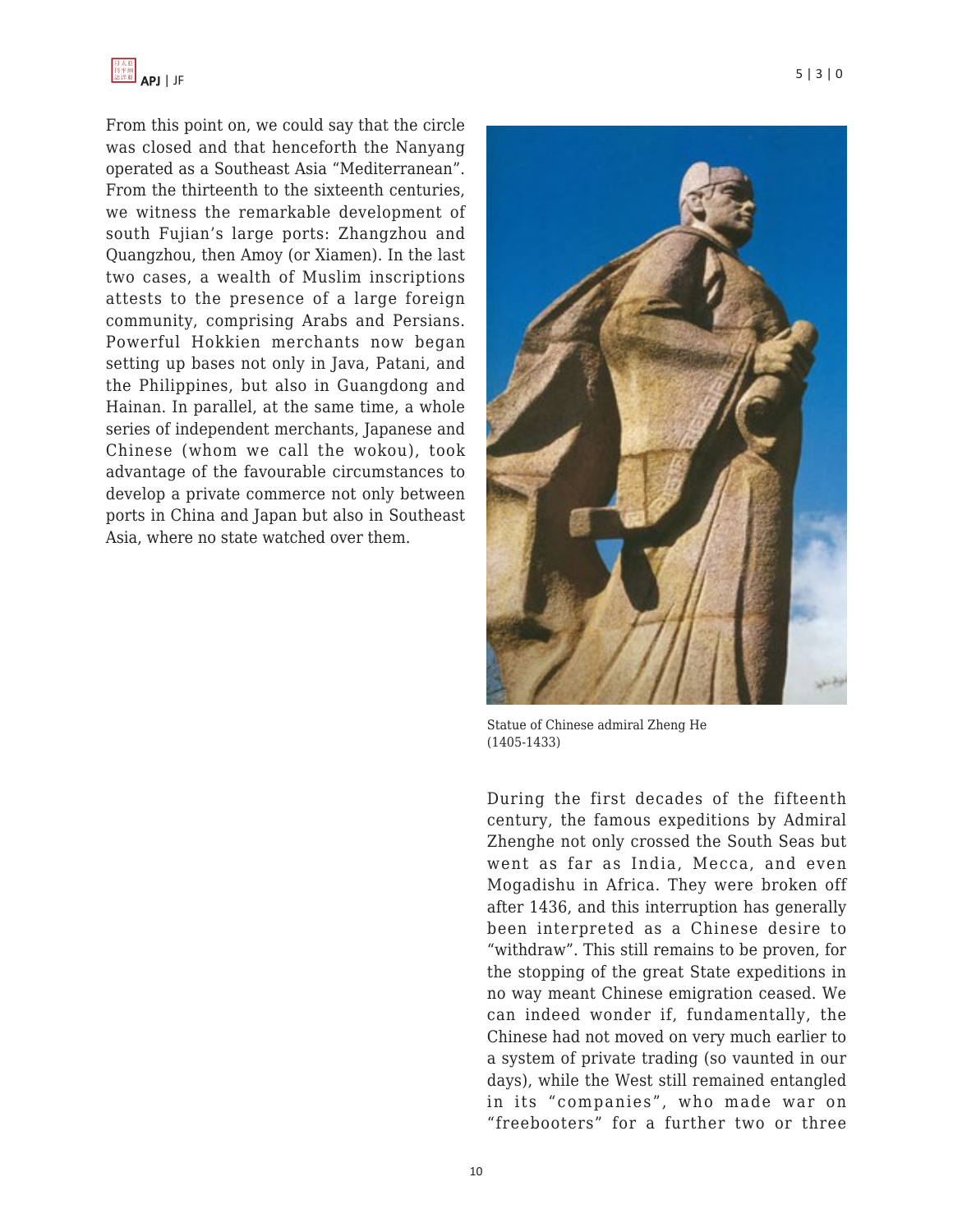

From this point on, we could say that the circle was closed and that henceforth the Nanyang operated as a Southeast Asia "Mediterranean". From the thirteenth to the sixteenth centuries, we witness the remarkable development of south Fujian's large ports: Zhangzhou and Quangzhou, then Amoy (or Xiamen). In the last two cases, a wealth of Muslim inscriptions attests to the presence of a large foreign community, comprising Arabs and Persians. Powerful Hokkien merchants now began setting up bases not only in Java, Patani, and the Philippines, but also in Guangdong and Hainan. In parallel, at the same time, a whole series of independent merchants, Japanese and Chinese (whom we call the wokou), took advantage of the favourable circumstances to develop a private commerce not only between ports in China and Japan but also in Southeast Asia, where no state watched over them.



Statue of Chinese admiral Zheng He (1405-1433)

During the first decades of the fifteenth century, the famous expeditions by Admiral Zhenghe not only crossed the South Seas but went as far as India, Mecca, and even Mogadishu in Africa. They were broken off after 1436, and this interruption has generally been interpreted as a Chinese desire to "withdraw". This still remains to be proven, for the stopping of the great State expeditions in no way meant Chinese emigration ceased. We can indeed wonder if, fundamentally, the Chinese had not moved on very much earlier to a system of private trading (so vaunted in our days), while the West still remained entangled in its "companies", who made war on "freebooters" for a further two or three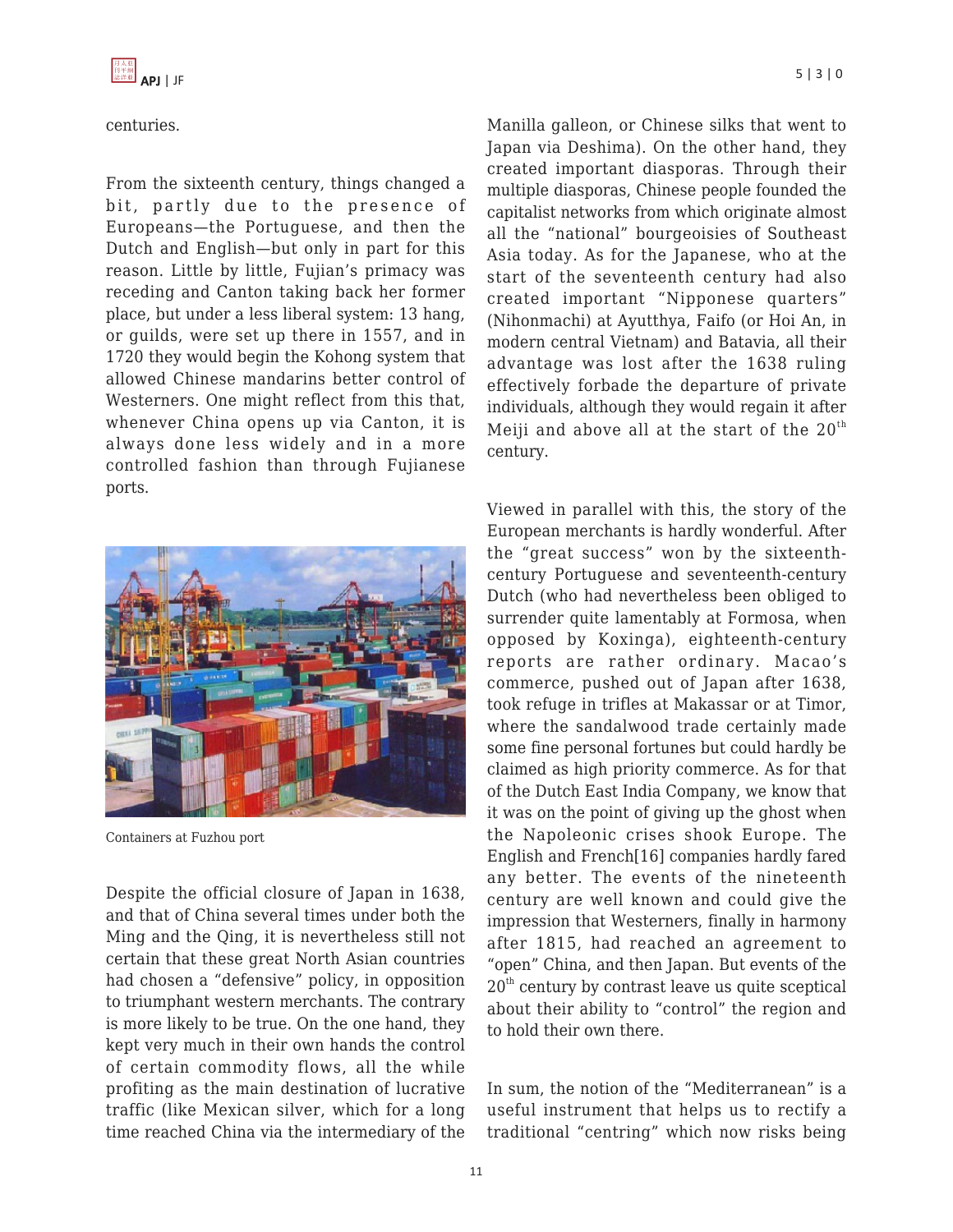

#### centuries.

From the sixteenth century, things changed a bit, partly due to the presence of Europeans—the Portuguese, and then the Dutch and English—but only in part for this reason. Little by little, Fujian's primacy was receding and Canton taking back her former place, but under a less liberal system: 13 hang, or guilds, were set up there in 1557, and in 1720 they would begin the Kohong system that allowed Chinese mandarins better control of Westerners. One might reflect from this that, whenever China opens up via Canton, it is always done less widely and in a more controlled fashion than through Fujianese ports.



Containers at Fuzhou port

Despite the official closure of Japan in 1638, and that of China several times under both the Ming and the Qing, it is nevertheless still not certain that these great North Asian countries had chosen a "defensive" policy, in opposition to triumphant western merchants. The contrary is more likely to be true. On the one hand, they kept very much in their own hands the control of certain commodity flows, all the while profiting as the main destination of lucrative traffic (like Mexican silver, which for a long time reached China via the intermediary of the Manilla galleon, or Chinese silks that went to Japan via Deshima). On the other hand, they created important diasporas. Through their multiple diasporas, Chinese people founded the capitalist networks from which originate almost all the "national" bourgeoisies of Southeast Asia today. As for the Japanese, who at the start of the seventeenth century had also created important "Nipponese quarters" (Nihonmachi) at Ayutthya, Faifo (or Hoi An, in modern central Vietnam) and Batavia, all their advantage was lost after the 1638 ruling effectively forbade the departure of private individuals, although they would regain it after Meiji and above all at the start of the  $20<sup>th</sup>$ century.

Viewed in parallel with this, the story of the European merchants is hardly wonderful. After the "great success" won by the sixteenthcentury Portuguese and seventeenth-century Dutch (who had nevertheless been obliged to surrender quite lamentably at Formosa, when opposed by Koxinga), eighteenth-century reports are rather ordinary. Macao's commerce, pushed out of Japan after 1638, took refuge in trifles at Makassar or at Timor, where the sandalwood trade certainly made some fine personal fortunes but could hardly be claimed as high priority commerce. As for that of the Dutch East India Company, we know that it was on the point of giving up the ghost when the Napoleonic crises shook Europe. The English and French[16] companies hardly fared any better. The events of the nineteenth century are well known and could give the impression that Westerners, finally in harmony after 1815, had reached an agreement to "open" China, and then Japan. But events of the  $20<sup>th</sup>$  century by contrast leave us quite sceptical about their ability to "control" the region and to hold their own there.

In sum, the notion of the "Mediterranean" is a useful instrument that helps us to rectify a traditional "centring" which now risks being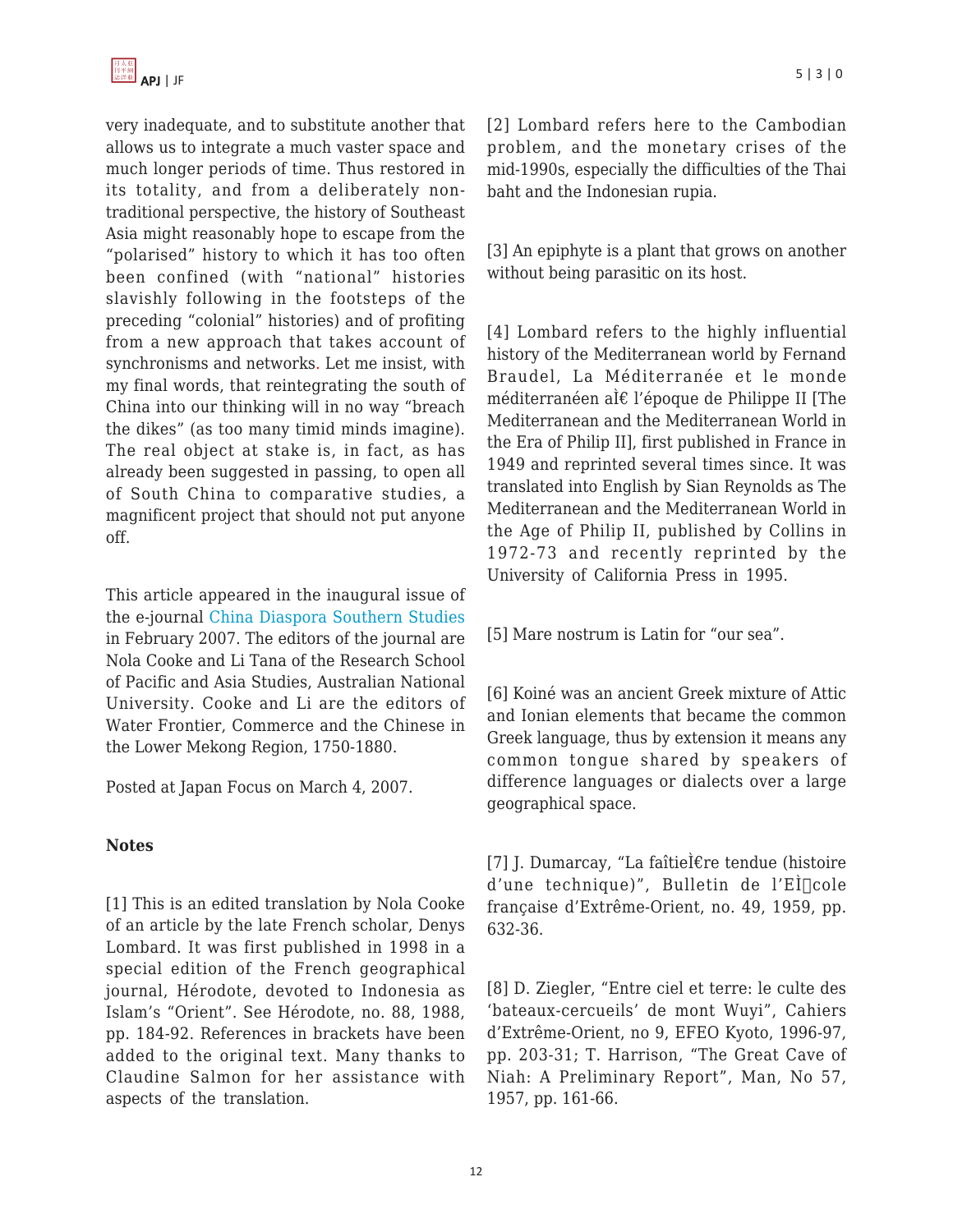

very inadequate, and to substitute another that allows us to integrate a much vaster space and much longer periods of time. Thus restored in its totality, and from a deliberately nontraditional perspective, the history of Southeast Asia might reasonably hope to escape from the "polarised" history to which it has too often been confined (with "national" histories slavishly following in the footsteps of the preceding "colonial" histories) and of profiting from a new approach that takes account of synchronisms and networks. Let me insist, with my final words, that reintegrating the south of China into our thinking will in no way "breach the dikes" (as too many timid minds imagine). The real object at stake is, in fact, as has already been suggested in passing, to open all of South China to comparative studies, a magnificent project that should not put anyone off.

This article appeared in the inaugural issue of the e-journal [China Diaspora Southern Studies](http://csds.anu.edu.au/) in February 2007. The editors of the journal are Nola Cooke and Li Tana of the Research School of Pacific and Asia Studies, Australian National University. Cooke and Li are the editors of Water Frontier, Commerce and the Chinese in the Lower Mekong Region, 1750-1880.

Posted at Japan Focus on March 4, 2007.

### **Notes**

[1] This is an edited translation by Nola Cooke of an article by the late French scholar, Denys Lombard. It was first published in 1998 in a special edition of the French geographical journal, Hérodote, devoted to Indonesia as Islam's "Orient". See Hérodote, no. 88, 1988, pp. 184-92. References in brackets have been added to the original text. Many thanks to Claudine Salmon for her assistance with aspects of the translation.

[2] Lombard refers here to the Cambodian problem, and the monetary crises of the mid-1990s, especially the difficulties of the Thai baht and the Indonesian rupia.

[3] An epiphyte is a plant that grows on another without being parasitic on its host.

[4] Lombard refers to the highly influential history of the Mediterranean world by Fernand Braudel, La Méditerranée et le monde méditerranéen aÌ€ l'époque de Philippe II [The Mediterranean and the Mediterranean World in the Era of Philip II], first published in France in 1949 and reprinted several times since. It was translated into English by Sian Reynolds as The Mediterranean and the Mediterranean World in the Age of Philip II, published by Collins in 1972-73 and recently reprinted by the University of California Press in 1995.

[5] Mare nostrum is Latin for "our sea".

[6] Koiné was an ancient Greek mixture of Attic and Ionian elements that became the common Greek language, thus by extension it means any common tongue shared by speakers of difference languages or dialects over a large geographical space.

[7] J. Dumarcay, "La faîtieÌ€re tendue (histoire d'une technique)", Bulletin de l'EI<sup>cole</sup> française d'Extrême-Orient, no. 49, 1959, pp. 632-36.

[8] D. Ziegler, "Entre ciel et terre: le culte des 'bateaux-cercueils' de mont Wuyi", Cahiers d'Extrême-Orient, no 9, EFEO Kyoto, 1996-97, pp. 203-31; T. Harrison, "The Great Cave of Niah: A Preliminary Report", Man, No 57, 1957, pp. 161-66.